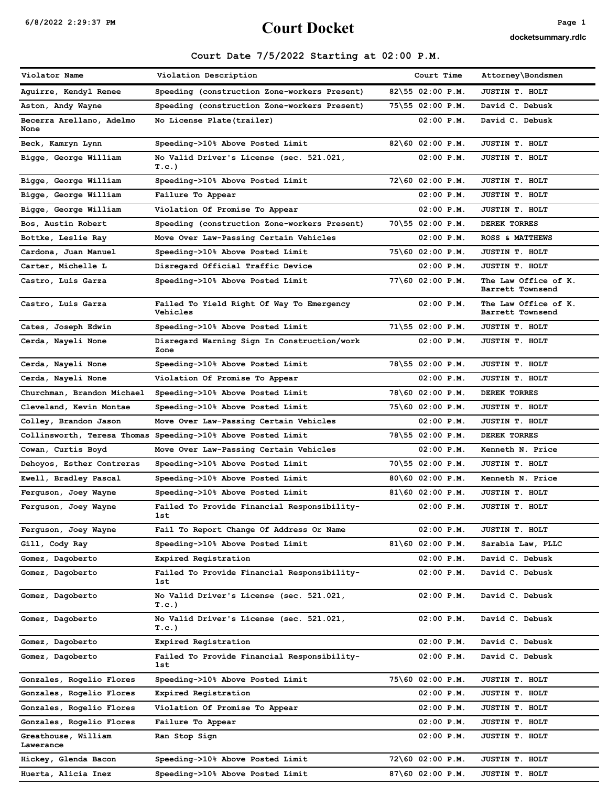# $6/8/2022$  2:29:37 PM Page 1

docketsummary.rdlc

## Court Date 7/5/2022 Starting at 02:00 P.M.

| Violator Name                    | Violation Description                                        | Court Time                  | Attorney\Bondsmen                        |
|----------------------------------|--------------------------------------------------------------|-----------------------------|------------------------------------------|
| Aquirre, Kendyl Renee            | Speeding (construction Zone-workers Present)                 | 82\55 02:00 P.M.            | JUSTIN T. HOLT                           |
| Aston, Andy Wayne                | Speeding (construction Zone-workers Present)                 | 75\55 02:00 P.M.            | David C. Debusk                          |
| Becerra Arellano, Adelmo<br>None | No License Plate(trailer)                                    | $02:00$ $P.M.$              | David C. Debusk                          |
| Beck, Kamryn Lynn                | Speeding->10% Above Posted Limit                             | 82\60 02:00 P.M.            | JUSTIN T. HOLT                           |
| Bigge, George William            | No Valid Driver's License (sec. 521.021,                     | $02:00$ P.M.                | JUSTIN T. HOLT                           |
|                                  | T.c.)                                                        |                             |                                          |
| Bigge, George William            | Speeding->10% Above Posted Limit                             | 72\60 02:00 P.M.            | JUSTIN T. HOLT                           |
| Bigge, George William            | Failure To Appear                                            | $02:00$ P.M.                | JUSTIN T. HOLT                           |
| Bigge, George William            | Violation Of Promise To Appear                               | $02:00$ P.M.                | JUSTIN T. HOLT                           |
| Bos, Austin Robert               | Speeding (construction Zone-workers Present)                 | 70\55 02:00 P.M.            | DEREK TORRES                             |
| Bottke, Leslie Ray               | Move Over Law-Passing Certain Vehicles                       | $02:00$ P.M.                | ROSS & MATTHEWS                          |
| Cardona, Juan Manuel             | Speeding->10% Above Posted Limit                             | 75\60 02:00 P.M.            | JUSTIN T. HOLT                           |
| Carter, Michelle L               | Disregard Official Traffic Device                            | $02:00$ P.M.                | JUSTIN T. HOLT                           |
| Castro, Luis Garza               | Speeding->10% Above Posted Limit                             | 77\60 02:00 P.M.            | The Law Office of K.<br>Barrett Townsend |
| Castro, Luis Garza               | Failed To Yield Right Of Way To Emergency<br><b>Vehicles</b> | $02:00$ P.M.                | The Law Office of K.<br>Barrett Townsend |
| Cates, Joseph Edwin              | Speeding->10% Above Posted Limit                             | $71\overline{55}02:00 P.M.$ | JUSTIN T. HOLT                           |
| Cerda, Nayeli None               | Disregard Warning Sign In Construction/work<br>Zone          | $02:00$ $P.M.$              | JUSTIN T. HOLT                           |
| Cerda, Nayeli None               | Speeding->10% Above Posted Limit                             | 78\55 02:00 P.M.            | JUSTIN T. HOLT                           |
| Cerda, Nayeli None               | Violation Of Promise To Appear                               | $02:00$ $P.M.$              | JUSTIN T. HOLT                           |
| Churchman, Brandon Michael       | Speeding->10% Above Posted Limit                             | 78\60 02:00 P.M.            | DEREK TORRES                             |
| Cleveland, Kevin Montae          | Speeding->10% Above Posted Limit                             | 75\60 02:00 P.M.            | JUSTIN T. HOLT                           |
| Colley, Brandon Jason            | Move Over Law-Passing Certain Vehicles                       | $02:00$ $P.M.$              | JUSTIN T. HOLT                           |
|                                  | Collinsworth, Teresa Thomas Speeding->10% Above Posted Limit | 78\55 02:00 P.M.            | DEREK TORRES                             |
| Cowan, Curtis Boyd               | Move Over Law-Passing Certain Vehicles                       | $02:00$ $P.M.$              | Kenneth N. Price                         |
| Dehoyos, Esther Contreras        | Speeding->10% Above Posted Limit                             | $70\$ 55 02:00 P.M.         | JUSTIN T. HOLT                           |
| Ewell, Bradley Pascal            | Speeding->10% Above Posted Limit                             | 80\60 02:00 P.M.            | Kenneth N. Price                         |
| Ferguson, Joey Wayne             | Speeding->10% Above Posted Limit                             | $81\6002:00P.M.$            | JUSTIN T. HOLT                           |
| Ferguson, Joey Wayne             | Failed To Provide Financial Responsibility-<br>1st           | $02:00$ $P.M.$              | JUSTIN T. HOLT                           |
| Ferguson, Joey Wayne             | Fail To Report Change Of Address Or Name                     | $02:00$ $P.M.$              | JUSTIN T. HOLT                           |
| Gill, Cody Ray                   | Speeding->10% Above Posted Limit                             | $81\6002:00P.M.$            | Sarabia Law, PLLC                        |
| Gomez, Dagoberto                 | Expired Registration                                         | $02:00$ $P.M.$              | David C. Debusk                          |
| Gomez, Dagoberto                 | Failed To Provide Financial Responsibility-<br>1st           | $02:00$ $P.M.$              | David C. Debusk                          |
| Gomez, Dagoberto                 | No Valid Driver's License (sec. 521.021,<br>T.C.)            | $02:00$ $P.M.$              | David C. Debusk                          |
| Gomez, Dagoberto                 | No Valid Driver's License (sec. 521.021,<br>T.c.)            | $02:00$ $P.M.$              | David C. Debusk                          |
| Gomez, Dagoberto                 | Expired Registration                                         | $02:00$ $P.M.$              | David C. Debusk                          |
| Gomez, Dagoberto                 | Failed To Provide Financial Responsibility-<br>1st           | $02:00$ P.M.                | David C. Debusk                          |
| Gonzales, Rogelio Flores         | Speeding->10% Above Posted Limit                             | 75\60 02:00 P.M.            | JUSTIN T. HOLT                           |
| Gonzales, Rogelio Flores         | Expired Registration                                         | 02:00 P.M.                  | JUSTIN T. HOLT                           |
| Gonzales, Rogelio Flores         | Violation Of Promise To Appear                               | $02:00$ P.M.                | JUSTIN T. HOLT                           |
| Gonzales, Rogelio Flores         | Failure To Appear                                            | $02:00$ $P.M.$              | JUSTIN T. HOLT                           |
| Greathouse, William<br>Lawerance | Ran Stop Sign                                                | $02:00$ P.M.                | JUSTIN T. HOLT                           |
| Hickey, Glenda Bacon             | Speeding->10% Above Posted Limit                             | $72\60$ 02:00 P.M.          | JUSTIN T. HOLT                           |
| Huerta, Alicia Inez              | Speeding->10% Above Posted Limit                             | $87\60$ 02:00 P.M.          | JUSTIN T. HOLT                           |
|                                  |                                                              |                             |                                          |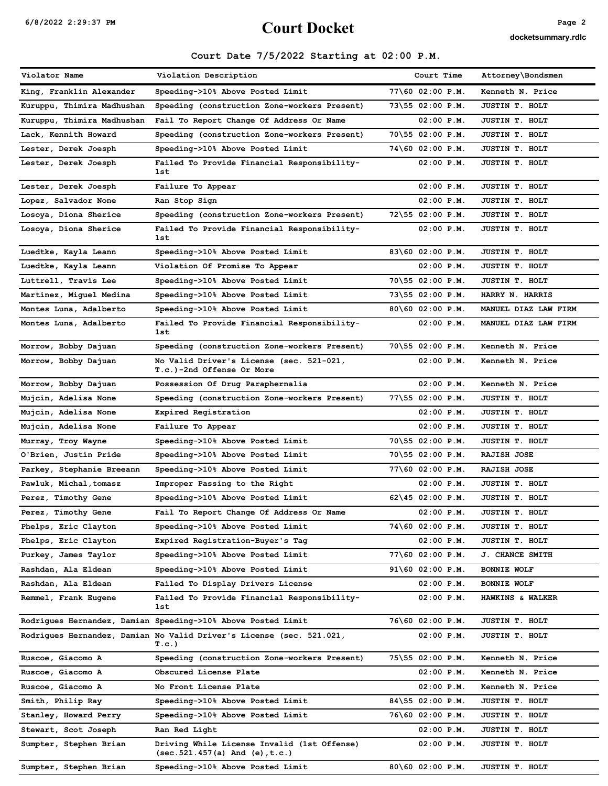# $6/8/2022$  2:29:37 PM Page 2<br>Court Docket

docketsummary.rdlc

## Court Date 7/5/2022 Starting at 02:00 P.M.

| Violator Name              | Violation Description                                                                           | Court Time          | Attorney\Bondsmen           |
|----------------------------|-------------------------------------------------------------------------------------------------|---------------------|-----------------------------|
| King, Franklin Alexander   | Speeding->10% Above Posted Limit                                                                | 77\60 02:00 P.M.    | Kenneth N. Price            |
| Kuruppu, Thimira Madhushan | Speeding (construction Zone-workers Present)                                                    | 73\55 02:00 P.M.    | JUSTIN T. HOLT              |
| Kuruppu, Thimira Madhushan | Fail To Report Change Of Address Or Name                                                        | $02:00$ $P.M.$      | JUSTIN T. HOLT              |
| Lack, Kennith Howard       | Speeding (construction Zone-workers Present)                                                    | 70\55 02:00 P.M.    | JUSTIN T. HOLT              |
| Lester, Derek Joesph       | Speeding->10% Above Posted Limit                                                                | 74\60 02:00 P.M.    | JUSTIN T. HOLT              |
| Lester, Derek Joesph       | Failed To Provide Financial Responsibility-<br>1st                                              | 02:00 P.M.          | JUSTIN T. HOLT              |
| Lester, Derek Joesph       | Failure To Appear                                                                               | $02:00$ $P.M.$      | JUSTIN T. HOLT              |
| Lopez, Salvador None       | Ran Stop Sign                                                                                   | $02:00$ $P.M.$      | JUSTIN T. HOLT              |
| Losoya, Diona Sherice      | Speeding (construction Zone-workers Present)                                                    | 72\55 02:00 P.M.    | JUSTIN T. HOLT              |
| Losoya, Diona Sherice      | Failed To Provide Financial Responsibility-<br>1st                                              | $02:00$ $P.M.$      | JUSTIN T. HOLT              |
| Luedtke, Kayla Leann       | Speeding->10% Above Posted Limit                                                                | 83\60 02:00 P.M.    | JUSTIN T. HOLT              |
| Luedtke, Kayla Leann       | Violation Of Promise To Appear                                                                  | 02:00 P.M.          | JUSTIN T. HOLT              |
| Luttrell, Travis Lee       | Speeding->10% Above Posted Limit                                                                | 70\55 02:00 P.M.    | JUSTIN T. HOLT              |
| Martinez, Miguel Medina    | Speeding->10% Above Posted Limit                                                                | 73\55 02:00 P.M.    | <b>HARRY N. HARRIS</b>      |
| Montes Luna, Adalberto     | Speeding->10% Above Posted Limit                                                                | 80\60 02:00 P.M.    | MANUEL DIAZ LAW FIRM        |
| Montes Luna, Adalberto     | Failed To Provide Financial Responsibility-<br>1st                                              | $02:00$ $P.M.$      | MANUEL DIAZ LAW FIRM        |
| Morrow, Bobby Dajuan       | Speeding (construction Zone-workers Present)                                                    | 70\55 02:00 P.M.    | Kenneth N. Price            |
| Morrow, Bobby Dajuan       | No Valid Driver's License (sec. 521-021,<br>T.c.)-2nd Offense Or More                           | $02:00$ $P.M.$      | Kenneth N. Price            |
| Morrow, Bobby Dajuan       | Possession Of Drug Paraphernalia                                                                | $02:00$ $P.M.$      | Kenneth N. Price            |
| Mujcin, Adelisa None       | Speeding (construction Zone-workers Present)                                                    | 77\55 02:00 P.M.    | JUSTIN T. HOLT              |
| Mujcin, Adelisa None       | Expired Registration                                                                            | 02:00 P.M.          | JUSTIN T. HOLT              |
| Mujcin, Adelisa None       | Failure To Appear                                                                               | $02:00$ $P.M.$      | JUSTIN T. HOLT              |
| Murray, Troy Wayne         | Speeding->10% Above Posted Limit                                                                | 70\55 02:00 P.M.    | JUSTIN T. HOLT              |
| O'Brien, Justin Pride      | Speeding->10% Above Posted Limit                                                                | 70\55 02:00 P.M.    | <b>RAJISH JOSE</b>          |
| Parkey, Stephanie Breeann  | Speeding->10% Above Posted Limit                                                                | 77\60 02:00 P.M.    | RAJISH JOSE                 |
| Pawluk, Michal,tomasz      | Improper Passing to the Right                                                                   | 02:00 P.M.          | JUSTIN T. HOLT              |
| Perez, Timothy Gene        | Speeding->10% Above Posted Limit                                                                | $62\145 02:00 P.M.$ | JUSTIN T. HOLT              |
| <b>Perez, Timothy Gene</b> | Fail To Report Change Of Address Or Name                                                        | 02:00 P.M.          | JUSTIN T. HOLT              |
| Phelps, Eric Clayton       | Speeding->10% Above Posted Limit                                                                | 74\60 02:00 P.M.    | JUSTIN T. HOLT              |
| Phelps, Eric Clayton       | Expired Registration-Buyer's Tag                                                                | $02:00$ $P.M.$      | JUSTIN T. HOLT              |
| Purkey, James Taylor       | Speeding->10% Above Posted Limit                                                                | 77\60 02:00 P.M.    | <b>J. CHANCE SMITH</b>      |
| Rashdan, Ala Eldean        | Speeding->10% Above Posted Limit                                                                | 91\60 02:00 P.M.    | <b>BONNIE WOLF</b>          |
| Rashdan, Ala Eldean        | Failed To Display Drivers License                                                               | 02:00 P.M.          | <b>BONNIE WOLF</b>          |
| Remmel, Frank Eugene       | Failed To Provide Financial Responsibility-<br>1st                                              | 02:00 P.M.          | <b>HAWKINS &amp; WALKER</b> |
|                            | Rodrigues Hernandez, Damian Speeding->10% Above Posted Limit                                    | 76\60 02:00 P.M.    | JUSTIN T. HOLT              |
|                            | Rodrigues Hernandez, Damian No Valid Driver's License (sec. 521.021,<br>T.c.)                   | $02:00$ P.M.        | JUSTIN T. HOLT              |
| Ruscoe, Giacomo A          | Speeding (construction Zone-workers Present)                                                    | 75\55 02:00 P.M.    | Kenneth N. Price            |
| Ruscoe, Giacomo A          | Obscured License Plate                                                                          | $02:00$ $P.M.$      | Kenneth N. Price            |
| Ruscoe, Giacomo A          | No Front License Plate                                                                          | $02:00$ $P.M.$      | Kenneth N. Price            |
| Smith, Philip Ray          | Speeding->10% Above Posted Limit                                                                | 84\55 02:00 P.M.    | JUSTIN T. HOLT              |
| Stanley, Howard Perry      | Speeding->10% Above Posted Limit                                                                | 76\60 02:00 P.M.    | JUSTIN T. HOLT              |
| Stewart, Scot Joseph       | Ran Red Light                                                                                   | 02:00 P.M.          | JUSTIN T. HOLT              |
| Sumpter, Stephen Brian     | Driving While License Invalid (1st Offense)<br>$(\text{sec}.521.457(a) \text{ And } (e), t.c.)$ | $02:00$ P.M.        | JUSTIN T. HOLT              |
| Sumpter, Stephen Brian     | Speeding->10% Above Posted Limit                                                                | 80\60 02:00 P.M.    | JUSTIN T. HOLT              |
|                            |                                                                                                 |                     |                             |